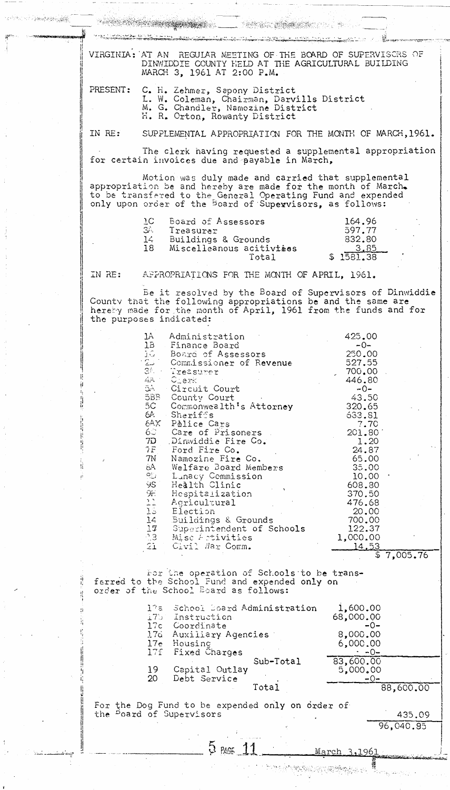VIRGINIA: AT AN REGULAR MEETING OF THE BOARD OF SUPERVISCAS OF DINWIDDIE COUNTY HELD AT THE AGRICULTURAL BUILDING MARCH 3, 1961 AT 2:00 P.M. PRESENT: C. H. Zehmer, Sapony District L. W. Coleman, Chairman, Darvills District M. G. Chandler, Namozine District H. R. Orton, Rowanty District IN RE: SUPPLEMENTAL APPROPRIATION FOR THE MONTH OF MARCH, 1961. The clerk having requested a supplemental appropriation for certain invoices due and payable in March, Motion was duly made and carried that supplemental appropriation be and hereby are made for the month of March. to be transfered to the General Operating Fund and expended only upon order of the Board of Supervisors, as follows: ŢС Board of Assessors 164.96 34. 597.77 Treasurer 832.80 14 Buildings & Grounds Miscelleanous acitivites <u>3.85</u> 18  $$1581.38$ Total IN RE: APPROPRIATIONS FOR THE MONTH OF APRIL, 1961. Be it resolved by the Board of Supervisors of Dinwiddie County that the following appropriations be and the same are hereby made for the month of April, 1961 from the funds and for the purposes indicated: Administration 425.00 1A lВ Finance Board  $-0 \overline{\mathbb{M}}_1$ 250.00 Board of Assessors Commissioner of Revenue 527.55 ا نست 34 Treasurer 700.00 4A Clerk 446.80 54. Circuit Court  $-0-$ 5BB County Court 43.50 Commonwealth's Attorney  $5C$ 320.65 6A. Sheriffs 633.81 6AX Palice Cars  $7.70$  $6 -$ 201.80 Care of Prisoners  $7D$ Dinwiddie Fire Co. 1.20 24.87 7F Ford Fire Co. 7N Namozine Fire Co. 65.00 6A Welfare Board Members 35.00  $\Omega_{\omega}^{m}$ Lunacy Commission 10.00 ŸS. Health Clinic 608.80  $9<sub>r</sub>$ Hespitalization 370.50  $\frac{15}{15}$ Agricultural 476.68 Election **20.00** 700.00  $14$ - Buildings & Grounds  $17<sup>°</sup>$ 122.37 Superintendent of Schools  $-3$ Misc Activities 1,000.00 Civil Nar Comm. 14.53 21.  $$7,005.76$ For the operation of Schools to be transfarred to the School Fund and expended only on order of the School Board as follows:  $1,600.00$ 17a School Doard Administration 68,000.00 Instruction  $\pm 75^\circ$ 17c Coordinate -0-17d Auxiliary Agencies 8,000.00 Housing  $17<sub>e</sub>$ 6,000.00  $17f$ **Fixed Charges**  $\cdot$  -0-83,600.00  $Sub-Total$ Capital Outlay 19 5,000.00 20 Debt Service Total 88,600.00 For the Dog Fund to be expended only on order of the <sup>B</sup>oard of Supervisors 435.09 96,040.95  $5$  PAGE  $11$ March 3,1961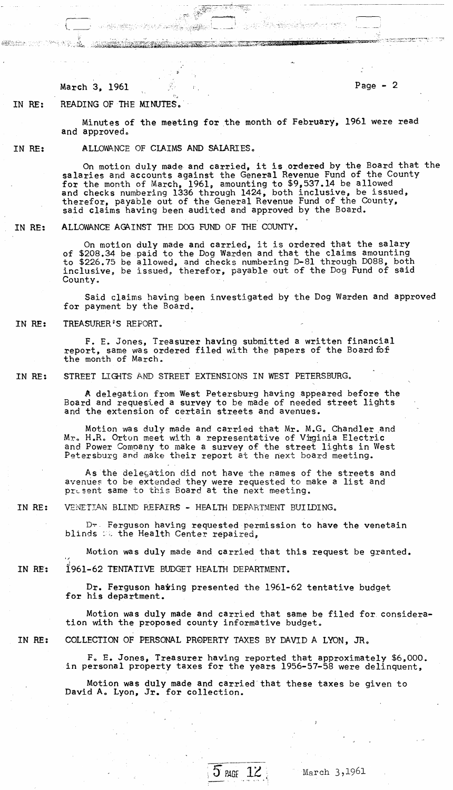March 3, 1961 **Page - 2** 

Victoria

IN RE: READING OF THE MINUTES.

ය*ැල්ඩ ලස්මා*පුව

Minutes of the meeting for the month of February, 1961 were read and approved.

. ~"~~~~~;:~. -." .~ .. -o::~:,~'; .. -

, ..... .." .;.:t--.,....

IN RE:

ALLOWANCE OF CLAIMS AND SALARIES.

On motion duly made and carried, it is ordered by the Board that the salaries and accounts against the General Revenue Fund of the County for the month of March, 1961, amounting to \$9,537.14 be allowed and checks numbering 1336 through 1424, both inclusive, be issued, therefor, payable out of the General Revenue Fund of the County, said claims having been audited and approved by the Board.

IN RE: ALLOWANCE AGAINST THE DOG FUND OF THE COUNTY.

> On motion duly made and carried, it is ordered that the salary of \$208.34 be paid to the Dog Warden and that the claims amounting to \$226.75 be allowed, and checks numbering D-8l through D088, both inclusive, be issued, therefor, payable out of the Dog Fund of said County.

Said claims having been investigated by the Dog Warden and approved for payment by the Board.

IN RE: TREASURER'S REPORT.

> F. E. Jones, Treasurer having submitted a written financial report, same was ordered filed with the papers of the Board fof the month of March.

IN RE: STREET LIGHTS AND STREET EXTENSIONS IN WEST PETERSBURG.

> fA delegation from West Petersburg having appeared before the Board and requesied a survey to be made of needed street lights and the extension of certain streets and avenues.

> Motion was duly made and carried that Mr. M.G. Chandler and Mr. H.R. Orton meet with a representative of Viginia Electric and Power Company to make a survey of the street lights in West Petersburg and make their report at the next board meeting.

> As the delegation did not have the names of the streets and avenues to be extended they were requested to make a list and present same to this Board at the next meeting.

IN RE: VENETIAN BLIND REFAIRS - HEALTH DEPARTMENT BUILDING.

> D~- Ferguson having requested permission to have the venetain blinds : the Health Center repaired,

Motion was duly made and carried that this request be granted. 1961-62 TENTATIVE BUDGET HEALTH DEPARTMENT.

Dr. Ferguson haiing presented the 1961-62 tentative budget<br>for his department.

Motion was duly made and carried that same be filed for consideration with the proposed county informative budget.

IN RE:

IN RE:

COLLECTION OF PERSONAL PROPERTY TAXES BY DAVID A LYON, JR.

Fo E. Jones, Treasurer having reported that approximately \$6.000. in personal property taxes for the years 1956-57-58 were delinquent,

Motion was duly made and carried that these taxes be given to David Ao Lyon, Jr. for collection.



March 3,1961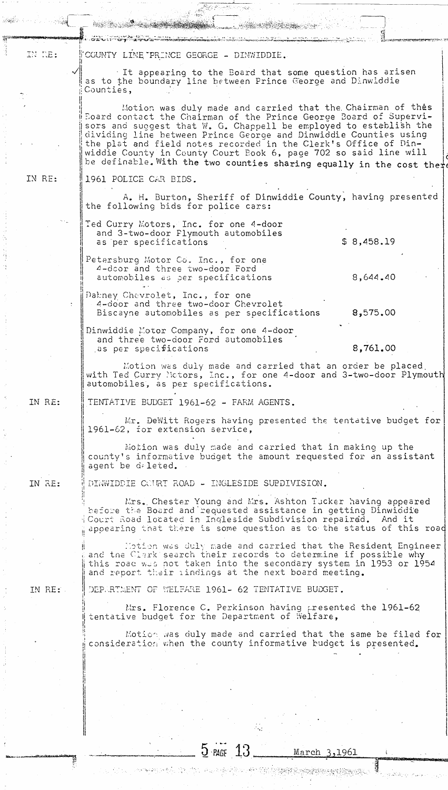| IN NE: | COUNTY LINE PRINCE GEORGE - DINWIDDIE.                                                                                                                                                                                                                                                                                                                                                                                                                                                   |
|--------|------------------------------------------------------------------------------------------------------------------------------------------------------------------------------------------------------------------------------------------------------------------------------------------------------------------------------------------------------------------------------------------------------------------------------------------------------------------------------------------|
|        | It appearing to the Board that some question has arisen<br>as to the boundary line between Prince George and Dinwiddie<br>Counties,                                                                                                                                                                                                                                                                                                                                                      |
|        | Motion was duly made and carried that the Chairman of thes<br>Board contact the Chairman of the Prince George Board of Supervi-<br>sors and suggest that W. G. Chappell be employed to establish the<br>dividing line between Prince George and Dinwiddie Counties using<br>the plat and field notes recorded in the Clerk's Office of Din-<br>widdie County in County Court Book 6, page 702 so said line will<br>be definable. With the two counties sharing equally in the cost there |
| IN RE: | 1961 POLICE CAR BIDS.                                                                                                                                                                                                                                                                                                                                                                                                                                                                    |
|        | A. H. Burton, Sheriff of Dinwiddie County, having presented<br>the following bids for police cars:                                                                                                                                                                                                                                                                                                                                                                                       |
|        | Ted Curry Motors, Inc. for one 4-door<br>and 3-two-door Flymouth automobiles<br>\$8,458.19<br>as per specifications                                                                                                                                                                                                                                                                                                                                                                      |
|        | Petersburg Motor Co. Inc., for one<br>4-door and three two-door Ford<br>8,644,40<br>automobiles as per specifications                                                                                                                                                                                                                                                                                                                                                                    |
|        | Dahney Chevrolet, Inc., for one<br>4-door and three two-door Chevrolet<br>8,575.00<br>Biscayne automobiles as per specifications                                                                                                                                                                                                                                                                                                                                                         |
|        | Dinwiddie Motor Company, for one 4-door<br>and three two-door Ford automobiles<br>8,761.00<br>as per specifications                                                                                                                                                                                                                                                                                                                                                                      |
|        | Motion was duly made and carried that an order be placed.<br>with Ted Curry Notors, Inc., for one 4-door and 3-two-door Plymouth<br>automobiles, as per specifications.                                                                                                                                                                                                                                                                                                                  |
| IN RE: | TENTATIVE BUDGET 1961-62 - FARM AGENTS.                                                                                                                                                                                                                                                                                                                                                                                                                                                  |
|        | Mr. DeWitt Rogers having presented the tentative budget for<br>1961-62, for extension service,                                                                                                                                                                                                                                                                                                                                                                                           |
|        | Motion was duly made and carried that in making up the<br>county's informative budget the amount requested for an assistant<br>agent be deleted.                                                                                                                                                                                                                                                                                                                                         |
| IN RE: | DINWIDDIE COURT ROAD - INGLESIDE SUPDIVISION.                                                                                                                                                                                                                                                                                                                                                                                                                                            |
|        | Mrs. Chester Young and Mrs. Ashton Tucker having appeared<br>before the Board and requested assistance in getting Dinwiddie<br>Court Road located in Ingleside Subdivision repaired. And it<br>appearing that there is some question as to the status of this road                                                                                                                                                                                                                       |
|        | Hotion was duly made and carried that the Resident Engineer<br>and the Clark search their records to determine if possible why<br>this road was not taken into the secondary system in 1953 or 1954<br>and report their indings at the next board meeting.                                                                                                                                                                                                                               |
| IN RE: | DEPARTMENT OF WELFARE 1961- 62 TENTATIVE BUDGET.                                                                                                                                                                                                                                                                                                                                                                                                                                         |
|        | Mrs. Florence C. Perkinson having presented the 1961-62<br>tentative budget for the Department of Welfare,                                                                                                                                                                                                                                                                                                                                                                               |
|        | Motion was duly made and carried that the same be filed for<br>consideration when the county informative budget is presented.                                                                                                                                                                                                                                                                                                                                                            |
|        |                                                                                                                                                                                                                                                                                                                                                                                                                                                                                          |
|        |                                                                                                                                                                                                                                                                                                                                                                                                                                                                                          |
|        |                                                                                                                                                                                                                                                                                                                                                                                                                                                                                          |
|        | $5$ PAGE $13$<br>March 3,1961                                                                                                                                                                                                                                                                                                                                                                                                                                                            |